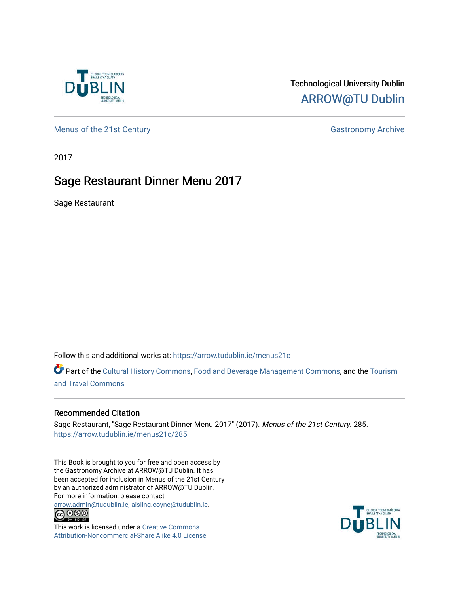

## Technological University Dublin [ARROW@TU Dublin](https://arrow.tudublin.ie/)

[Menus of the 21st Century](https://arrow.tudublin.ie/menus21c) Gastronomy Archive

2017

## Sage Restaurant Dinner Menu 2017

Sage Restaurant

Follow this and additional works at: [https://arrow.tudublin.ie/menus21c](https://arrow.tudublin.ie/menus21c?utm_source=arrow.tudublin.ie%2Fmenus21c%2F285&utm_medium=PDF&utm_campaign=PDFCoverPages) 

Part of the [Cultural History Commons](http://network.bepress.com/hgg/discipline/496?utm_source=arrow.tudublin.ie%2Fmenus21c%2F285&utm_medium=PDF&utm_campaign=PDFCoverPages), [Food and Beverage Management Commons,](http://network.bepress.com/hgg/discipline/1089?utm_source=arrow.tudublin.ie%2Fmenus21c%2F285&utm_medium=PDF&utm_campaign=PDFCoverPages) and the [Tourism](http://network.bepress.com/hgg/discipline/1082?utm_source=arrow.tudublin.ie%2Fmenus21c%2F285&utm_medium=PDF&utm_campaign=PDFCoverPages) [and Travel Commons](http://network.bepress.com/hgg/discipline/1082?utm_source=arrow.tudublin.ie%2Fmenus21c%2F285&utm_medium=PDF&utm_campaign=PDFCoverPages)

## Recommended Citation

Sage Restaurant, "Sage Restaurant Dinner Menu 2017" (2017). Menus of the 21st Century. 285. [https://arrow.tudublin.ie/menus21c/285](https://arrow.tudublin.ie/menus21c/285?utm_source=arrow.tudublin.ie%2Fmenus21c%2F285&utm_medium=PDF&utm_campaign=PDFCoverPages) 

This Book is brought to you for free and open access by the Gastronomy Archive at ARROW@TU Dublin. It has been accepted for inclusion in Menus of the 21st Century by an authorized administrator of ARROW@TU Dublin. For more information, please contact

[arrow.admin@tudublin.ie, aisling.coyne@tudublin.ie](mailto:arrow.admin@tudublin.ie,%20aisling.coyne@tudublin.ie).<br>
co 060



This work is licensed under a [Creative Commons](http://creativecommons.org/licenses/by-nc-sa/4.0/) [Attribution-Noncommercial-Share Alike 4.0 License](http://creativecommons.org/licenses/by-nc-sa/4.0/)

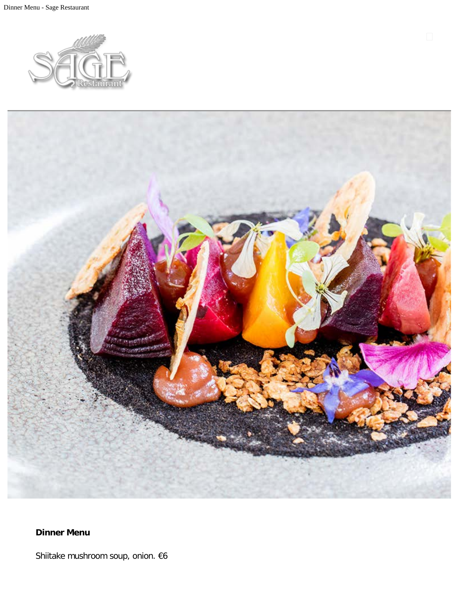



**Dinner Menu**

Shiitake mushroom soup, onion. €6